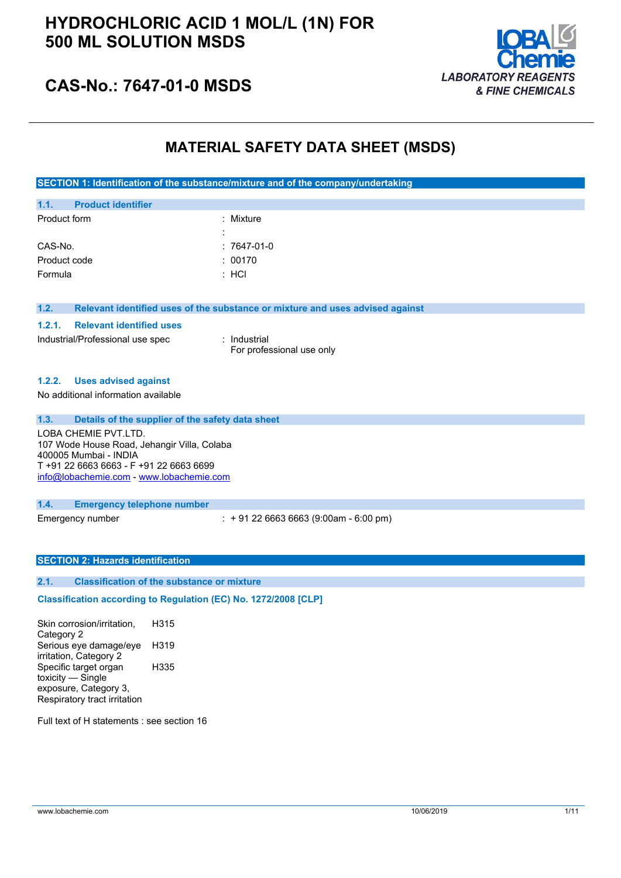## **HYDROCHLORIC ACID 1 MOL/L (1N) FOR 500 ML SOLUTION MSDS**



## **CAS-No.: 7647-01-0 MSDS**

### **MATERIAL SAFETY DATA SHEET (MSDS)**

| SECTION 1: Identification of the substance/mixture and of the company/undertaking |
|-----------------------------------------------------------------------------------|
|-----------------------------------------------------------------------------------|

| 1.1.         | <b>Product identifier</b> |                     |              |
|--------------|---------------------------|---------------------|--------------|
| Product form |                           |                     | : Mixture    |
|              |                           | ٠<br>$\blacksquare$ |              |
| CAS-No.      |                           |                     | $:7647-01-0$ |
| Product code |                           |                     | : 00170      |
| Formula      |                           |                     | $:$ HCI      |

#### **1.2. Relevant identified uses of the substance or mixture and uses advised against**

### **1.2.1. Relevant identified uses**

: Industrial For professional use only

#### **1.2.2. Uses advised against**

No additional information available

**1.3. Details of the supplier of the safety data sheet**

LOBA CHEMIE PVT.LTD. 107 Wode House Road, Jehangir Villa, Colaba 400005 Mumbai - INDIA T +91 22 6663 6663 - F +91 22 6663 6699 [info@lobachemie.com](mailto:info@lobachemie.com) - <www.lobachemie.com>

#### **1.4. Emergency telephone number**

Emergency number : + 91 22 6663 6663 (9:00am - 6:00 pm)

#### **SECTION 2: Hazards identification**

### **2.1. Classification of the substance or mixture**

### $C$ lassification according to Regulation (EC) No. 1272/2008 [CLP]

Skin corrosion/irritation, Category 2 H315 Serious eye damage/eye irritation, Category 2 H319 Specific target organ toxicity — Single exposure, Category 3, Respiratory tract irritation H335

Full text of H statements : see section 16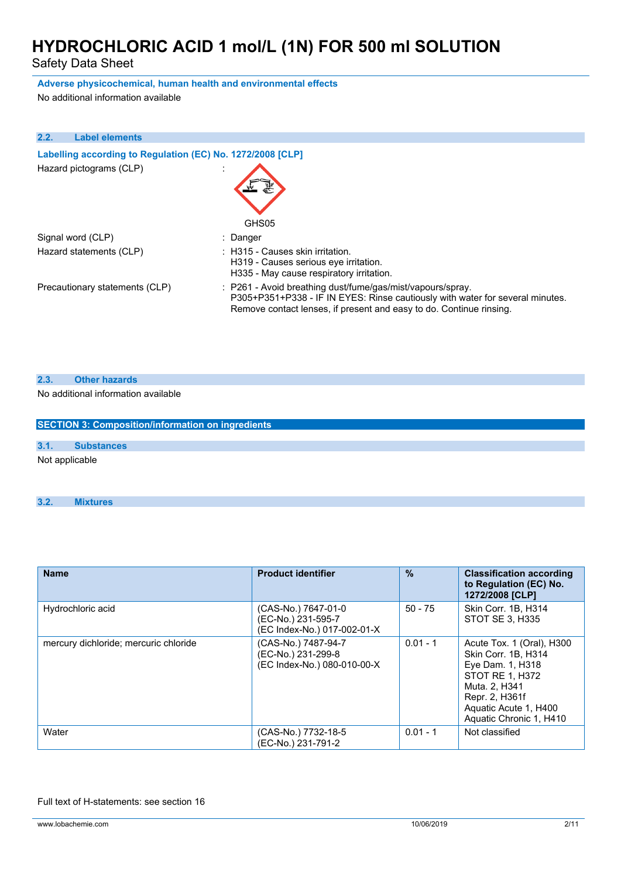Safety Data Sheet

### **Adverse physicochemical, human health and environmental effects**

No additional information available

| 2.2. | <b>Label elements</b>                                      |                                                                                                                                                                                                                    |
|------|------------------------------------------------------------|--------------------------------------------------------------------------------------------------------------------------------------------------------------------------------------------------------------------|
|      | Labelling according to Regulation (EC) No. 1272/2008 [CLP] |                                                                                                                                                                                                                    |
|      | Hazard pictograms (CLP)                                    |                                                                                                                                                                                                                    |
|      |                                                            | GHS05                                                                                                                                                                                                              |
|      | Signal word (CLP)                                          | : Danger                                                                                                                                                                                                           |
|      | Hazard statements (CLP)                                    | : H315 - Causes skin irritation.<br>H319 - Causes serious eye irritation.<br>H335 - May cause respiratory irritation.                                                                                              |
|      | Precautionary statements (CLP)                             | : P261 - Avoid breathing dust/fume/gas/mist/vapours/spray.<br>P305+P351+P338 - IF IN EYES: Rinse cautiously with water for several minutes.<br>Remove contact lenses, if present and easy to do. Continue rinsing. |

#### **2.3. Other hazards**

No additional information available

| <b>SECTION 3: Composition/information on ingredients</b> |                   |  |
|----------------------------------------------------------|-------------------|--|
|                                                          |                   |  |
| 3.1.                                                     | <b>Substances</b> |  |
| Not applicable                                           |                   |  |

#### **3.2. Mixtures**

| <b>Name</b>                           | <b>Product identifier</b>                                                | $\%$       | <b>Classification according</b><br>to Regulation (EC) No.<br>1272/2008 [CLP]                                                                                                   |
|---------------------------------------|--------------------------------------------------------------------------|------------|--------------------------------------------------------------------------------------------------------------------------------------------------------------------------------|
| Hydrochloric acid                     | (CAS-No.) 7647-01-0<br>(EC-No.) 231-595-7<br>(EC Index-No.) 017-002-01-X | $50 - 75$  | Skin Corr. 1B. H314<br>STOT SE 3, H335                                                                                                                                         |
| mercury dichloride; mercuric chloride | (CAS-No.) 7487-94-7<br>(EC-No.) 231-299-8<br>(EC Index-No.) 080-010-00-X | $0.01 - 1$ | Acute Tox. 1 (Oral), H300<br>Skin Corr. 1B, H314<br>Eye Dam. 1, H318<br>STOT RE 1, H372<br>Muta, 2, H341<br>Repr. 2, H361f<br>Aquatic Acute 1, H400<br>Aquatic Chronic 1, H410 |
| Water                                 | (CAS-No.) 7732-18-5<br>(EC-No.) 231-791-2                                | $0.01 - 1$ | Not classified                                                                                                                                                                 |

#### Full text of H-statements: see section 16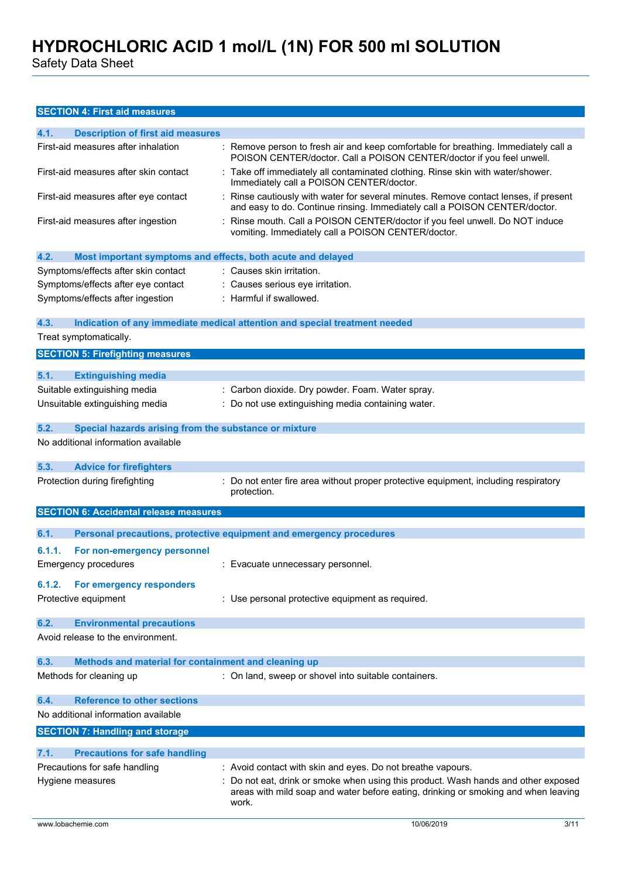Safety Data Sheet

### **SECTION 4: First aid measures**

| 4.1.   |                                                             |                                                                                                                                                                                                                                                |
|--------|-------------------------------------------------------------|------------------------------------------------------------------------------------------------------------------------------------------------------------------------------------------------------------------------------------------------|
|        | <b>Description of first aid measures</b>                    |                                                                                                                                                                                                                                                |
|        | First-aid measures after inhalation                         | Remove person to fresh air and keep comfortable for breathing. Immediately call a<br>POISON CENTER/doctor. Call a POISON CENTER/doctor if you feel unwell.                                                                                     |
|        | First-aid measures after skin contact                       | Take off immediately all contaminated clothing. Rinse skin with water/shower.<br>Immediately call a POISON CENTER/doctor.                                                                                                                      |
|        | First-aid measures after eye contact                        | Rinse cautiously with water for several minutes. Remove contact lenses, if present<br>and easy to do. Continue rinsing. Immediately call a POISON CENTER/doctor.                                                                               |
|        | First-aid measures after ingestion                          | Rinse mouth. Call a POISON CENTER/doctor if you feel unwell. Do NOT induce<br>vomiting. Immediately call a POISON CENTER/doctor.                                                                                                               |
| 4.2.   | Most important symptoms and effects, both acute and delayed |                                                                                                                                                                                                                                                |
|        | Symptoms/effects after skin contact                         | : Causes skin irritation.                                                                                                                                                                                                                      |
|        | Symptoms/effects after eye contact                          | Causes serious eye irritation.                                                                                                                                                                                                                 |
|        | Symptoms/effects after ingestion                            | : Harmful if swallowed.                                                                                                                                                                                                                        |
|        |                                                             |                                                                                                                                                                                                                                                |
| 4.3.   |                                                             | Indication of any immediate medical attention and special treatment needed                                                                                                                                                                     |
|        | Treat symptomatically.                                      |                                                                                                                                                                                                                                                |
|        | <b>SECTION 5: Firefighting measures</b>                     |                                                                                                                                                                                                                                                |
| 5.1.   | <b>Extinguishing media</b>                                  |                                                                                                                                                                                                                                                |
|        | Suitable extinguishing media                                | : Carbon dioxide. Dry powder. Foam. Water spray.                                                                                                                                                                                               |
|        | Unsuitable extinguishing media                              | : Do not use extinguishing media containing water.                                                                                                                                                                                             |
|        |                                                             |                                                                                                                                                                                                                                                |
| 5.2.   | Special hazards arising from the substance or mixture       |                                                                                                                                                                                                                                                |
|        | No additional information available                         |                                                                                                                                                                                                                                                |
| 5.3.   | <b>Advice for firefighters</b>                              |                                                                                                                                                                                                                                                |
|        | Protection during firefighting                              | Do not enter fire area without proper protective equipment, including respiratory<br>protection.                                                                                                                                               |
|        |                                                             |                                                                                                                                                                                                                                                |
|        | <b>SECTION 6: Accidental release measures</b>               |                                                                                                                                                                                                                                                |
| 6.1.   |                                                             |                                                                                                                                                                                                                                                |
|        |                                                             | Personal precautions, protective equipment and emergency procedures                                                                                                                                                                            |
| 6.1.1. | For non-emergency personnel<br><b>Emergency procedures</b>  | : Evacuate unnecessary personnel.                                                                                                                                                                                                              |
| 6.1.2. | For emergency responders                                    |                                                                                                                                                                                                                                                |
|        | Protective equipment                                        | : Use personal protective equipment as required.                                                                                                                                                                                               |
| 6.2.   | <b>Environmental precautions</b>                            |                                                                                                                                                                                                                                                |
|        | Avoid release to the environment.                           |                                                                                                                                                                                                                                                |
| 6.3.   | Methods and material for containment and cleaning up        |                                                                                                                                                                                                                                                |
|        | Methods for cleaning up                                     | : On land, sweep or shovel into suitable containers.                                                                                                                                                                                           |
| 6.4.   | <b>Reference to other sections</b>                          |                                                                                                                                                                                                                                                |
|        | No additional information available                         |                                                                                                                                                                                                                                                |
|        | <b>SECTION 7: Handling and storage</b>                      |                                                                                                                                                                                                                                                |
| 7.1.   | <b>Precautions for safe handling</b>                        |                                                                                                                                                                                                                                                |
|        | Precautions for safe handling                               |                                                                                                                                                                                                                                                |
|        | Hygiene measures                                            | : Avoid contact with skin and eyes. Do not breathe vapours.<br>Do not eat, drink or smoke when using this product. Wash hands and other exposed<br>areas with mild soap and water before eating, drinking or smoking and when leaving<br>work. |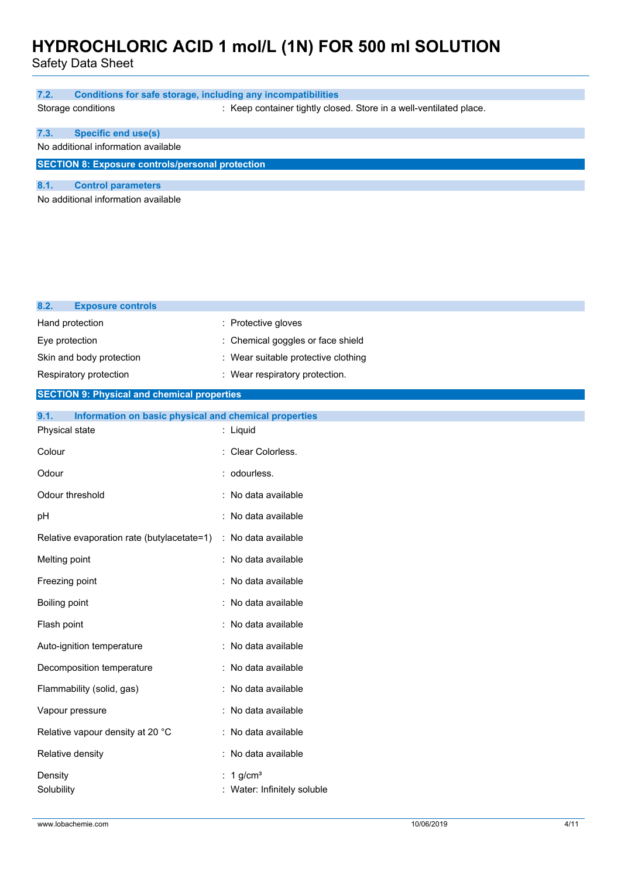Safety Data Sheet

| 7.2.                                                    |                                     | Conditions for safe storage, including any incompatibilities       |
|---------------------------------------------------------|-------------------------------------|--------------------------------------------------------------------|
|                                                         | Storage conditions                  | : Keep container tightly closed. Store in a well-ventilated place. |
|                                                         |                                     |                                                                    |
| 7.3.                                                    | <b>Specific end use(s)</b>          |                                                                    |
|                                                         | No additional information available |                                                                    |
| <b>SECTION 8: Exposure controls/personal protection</b> |                                     |                                                                    |
|                                                         |                                     |                                                                    |
| 8.1.                                                    | <b>Control parameters</b>           |                                                                    |
| No additional information available                     |                                     |                                                                    |
|                                                         |                                     |                                                                    |
|                                                         |                                     |                                                                    |
|                                                         |                                     |                                                                    |
|                                                         |                                     |                                                                    |

| <b>Exposure controls</b><br>8.2.                              |                                        |
|---------------------------------------------------------------|----------------------------------------|
| Hand protection                                               | : Protective gloves                    |
| Eye protection                                                | Chemical goggles or face shield        |
| Skin and body protection                                      | Wear suitable protective clothing      |
| Respiratory protection                                        | Wear respiratory protection.           |
| <b>SECTION 9: Physical and chemical properties</b>            |                                        |
| 9.1.<br>Information on basic physical and chemical properties |                                        |
| Physical state                                                | : Liquid                               |
| Colour                                                        | : Clear Colorless.                     |
| Odour                                                         | : odourless.                           |
| Odour threshold                                               | No data available                      |
| pH                                                            | : No data available                    |
| Relative evaporation rate (butylacetate=1)                    | : No data available                    |
| Melting point                                                 | : No data available                    |
| Freezing point                                                | : No data available                    |
| Boiling point                                                 | : No data available                    |
| Flash point                                                   | : No data available                    |
| Auto-ignition temperature                                     | : No data available                    |
| Decomposition temperature                                     | : No data available                    |
| Flammability (solid, gas)                                     | : No data available                    |
| Vapour pressure                                               | : No data available                    |
| Relative vapour density at 20 °C                              | : No data available                    |
| Relative density                                              | : No data available                    |
| Density<br>Solubility                                         | 1 $g/cm3$<br>Water: Infinitely soluble |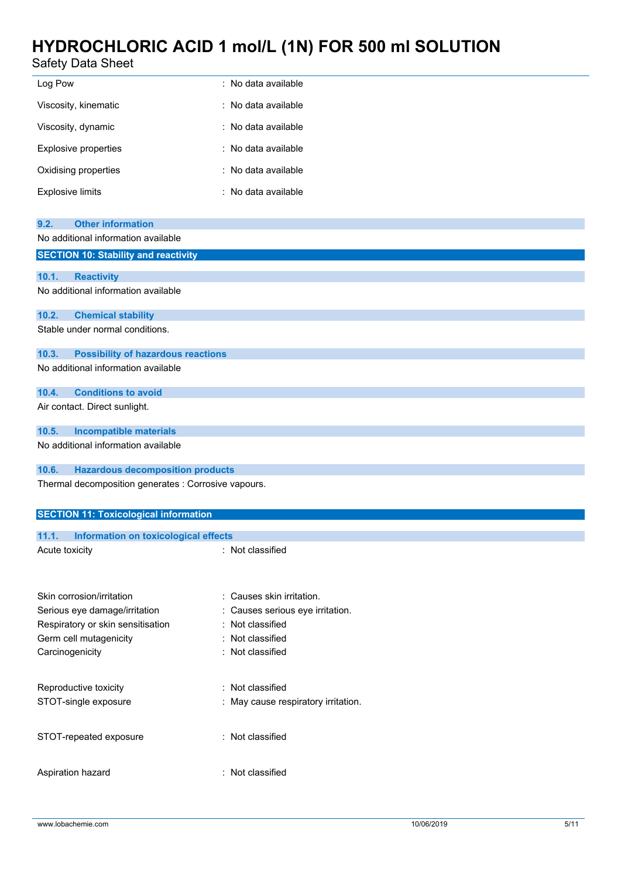### Safety Data Sheet

| Safety Data Sheet                                                             |                                                               |  |  |
|-------------------------------------------------------------------------------|---------------------------------------------------------------|--|--|
| Log Pow                                                                       | : No data available                                           |  |  |
| Viscosity, kinematic                                                          | : No data available                                           |  |  |
| Viscosity, dynamic                                                            | : No data available                                           |  |  |
| Explosive properties                                                          | : No data available                                           |  |  |
| Oxidising properties                                                          | : No data available                                           |  |  |
| <b>Explosive limits</b>                                                       | : No data available                                           |  |  |
| <b>Other information</b><br>9.2.                                              |                                                               |  |  |
| No additional information available                                           |                                                               |  |  |
| <b>SECTION 10: Stability and reactivity</b>                                   |                                                               |  |  |
| 10.1.<br><b>Reactivity</b>                                                    |                                                               |  |  |
| No additional information available                                           |                                                               |  |  |
| 10.2.<br><b>Chemical stability</b>                                            |                                                               |  |  |
| Stable under normal conditions.                                               |                                                               |  |  |
| 10.3.<br><b>Possibility of hazardous reactions</b>                            |                                                               |  |  |
| No additional information available                                           |                                                               |  |  |
|                                                                               |                                                               |  |  |
| <b>Conditions to avoid</b><br>10.4.<br>Air contact. Direct sunlight.          |                                                               |  |  |
|                                                                               |                                                               |  |  |
| 10.5.<br><b>Incompatible materials</b><br>No additional information available |                                                               |  |  |
|                                                                               |                                                               |  |  |
| 10.6.<br><b>Hazardous decomposition products</b>                              |                                                               |  |  |
| Thermal decomposition generates : Corrosive vapours.                          |                                                               |  |  |
| <b>SECTION 11: Toxicological information</b>                                  |                                                               |  |  |
| Information on toxicological effects<br>11.1.                                 |                                                               |  |  |
| Acute toxicity                                                                | : Not classified                                              |  |  |
|                                                                               |                                                               |  |  |
|                                                                               |                                                               |  |  |
| Skin corrosion/irritation<br>Serious eye damage/irritation                    | : Causes skin irritation.<br>: Causes serious eye irritation. |  |  |
| Respiratory or skin sensitisation                                             | Not classified                                                |  |  |
| Germ cell mutagenicity                                                        | Not classified                                                |  |  |
| Carcinogenicity                                                               | : Not classified                                              |  |  |
| Reproductive toxicity                                                         | : Not classified                                              |  |  |
| STOT-single exposure                                                          | : May cause respiratory irritation.                           |  |  |
|                                                                               |                                                               |  |  |

STOT-repeated exposure : Not classified

Aspiration hazard : Not classified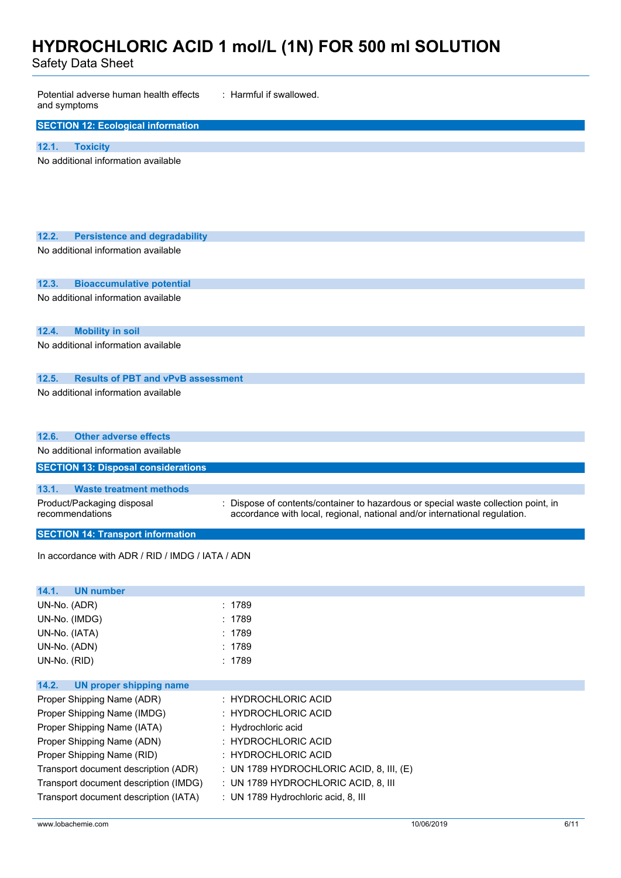Safety Data Sheet

| Potential adverse human health effects<br>: Harmful if swallowed.<br>and symptoms |                                                                                                                                                                  |  |  |
|-----------------------------------------------------------------------------------|------------------------------------------------------------------------------------------------------------------------------------------------------------------|--|--|
| <b>SECTION 12: Ecological information</b>                                         |                                                                                                                                                                  |  |  |
| 12.1.<br><b>Toxicity</b>                                                          |                                                                                                                                                                  |  |  |
| No additional information available                                               |                                                                                                                                                                  |  |  |
|                                                                                   |                                                                                                                                                                  |  |  |
| 12.2.<br><b>Persistence and degradability</b>                                     |                                                                                                                                                                  |  |  |
| No additional information available                                               |                                                                                                                                                                  |  |  |
| 12.3.<br><b>Bioaccumulative potential</b>                                         |                                                                                                                                                                  |  |  |
| No additional information available                                               |                                                                                                                                                                  |  |  |
| 12.4.<br><b>Mobility in soil</b>                                                  |                                                                                                                                                                  |  |  |
| No additional information available                                               |                                                                                                                                                                  |  |  |
| 12.5.<br><b>Results of PBT and vPvB assessment</b>                                |                                                                                                                                                                  |  |  |
| No additional information available                                               |                                                                                                                                                                  |  |  |
| 12.6.<br><b>Other adverse effects</b>                                             |                                                                                                                                                                  |  |  |
| No additional information available                                               |                                                                                                                                                                  |  |  |
| <b>SECTION 13: Disposal considerations</b>                                        |                                                                                                                                                                  |  |  |
| 13.1.<br><b>Waste treatment methods</b>                                           |                                                                                                                                                                  |  |  |
| Product/Packaging disposal<br>recommendations                                     | : Dispose of contents/container to hazardous or special waste collection point, in<br>accordance with local, regional, national and/or international regulation. |  |  |
| <b>SECTION 14: Transport information</b>                                          |                                                                                                                                                                  |  |  |
| In accordance with ADR / RID / IMDG / IATA / ADN                                  |                                                                                                                                                                  |  |  |
| <b>UN number</b><br>14.1.                                                         |                                                                                                                                                                  |  |  |
| UN-No. (ADR)                                                                      | : 1789                                                                                                                                                           |  |  |
| UN-No. (IMDG)                                                                     | : 1789                                                                                                                                                           |  |  |
| UN-No. (IATA)                                                                     | : 1789                                                                                                                                                           |  |  |
| UN-No. (ADN)                                                                      | : 1789                                                                                                                                                           |  |  |
| UN-No. (RID)                                                                      | : 1789                                                                                                                                                           |  |  |
| 14.2.<br><b>UN proper shipping name</b>                                           |                                                                                                                                                                  |  |  |
| Proper Shipping Name (ADR)                                                        | : HYDROCHLORIC ACID                                                                                                                                              |  |  |
| Proper Shipping Name (IMDG)                                                       | <b>HYDROCHLORIC ACID</b>                                                                                                                                         |  |  |
| Proper Shipping Name (IATA)                                                       | : Hydrochloric acid                                                                                                                                              |  |  |
| Proper Shipping Name (ADN)                                                        | : HYDROCHLORIC ACID                                                                                                                                              |  |  |
| Proper Shipping Name (RID)<br>Transport document description (ADR)                | : HYDROCHLORIC ACID<br>: UN 1789 HYDROCHLORIC ACID, 8, III, $(E)$                                                                                                |  |  |
| Transport document description (IMDG)                                             | : UN 1789 HYDROCHLORIC ACID, 8, III                                                                                                                              |  |  |
| Transport document description (IATA)                                             | : UN 1789 Hydrochloric acid, 8, III                                                                                                                              |  |  |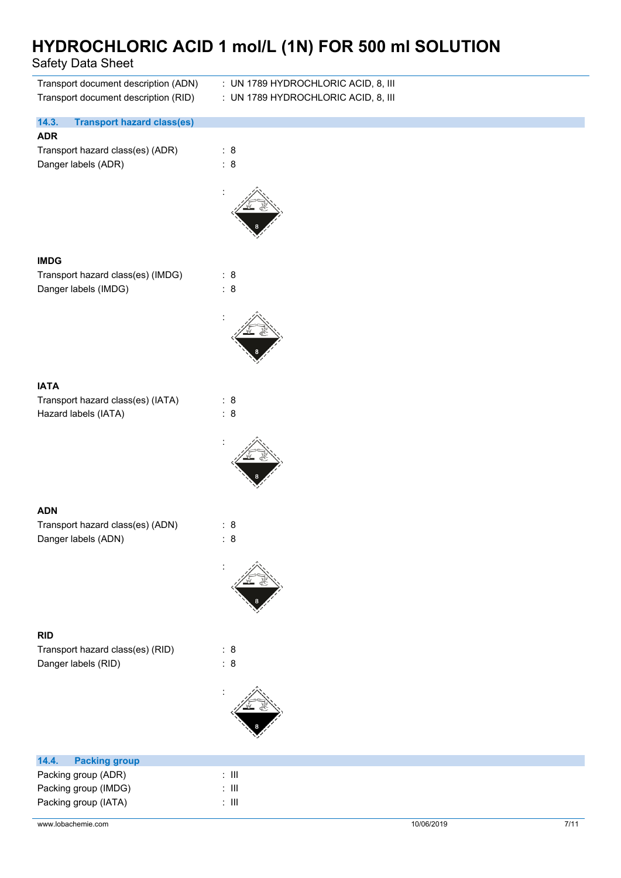### Safety Data Sheet

| Transport document description (ADN)<br>Transport document description (RID) | : UN 1789 HYDROCHLORIC ACID, 8, III<br>: UN 1789 HYDROCHLORIC ACID, 8, III |
|------------------------------------------------------------------------------|----------------------------------------------------------------------------|
| 14.3.<br><b>Transport hazard class(es)</b>                                   |                                                                            |
| <b>ADR</b><br>Transport hazard class(es) (ADR)<br>Danger labels (ADR)        | : 8<br>: 8                                                                 |
| <b>IMDG</b>                                                                  |                                                                            |
| Transport hazard class(es) (IMDG)<br>Danger labels (IMDG)                    | : 8<br>: 8                                                                 |
|                                                                              |                                                                            |
| <b>IATA</b>                                                                  |                                                                            |
| Transport hazard class(es) (IATA)<br>Hazard labels (IATA)                    | : 8<br>: 8                                                                 |
|                                                                              |                                                                            |
| <b>ADN</b>                                                                   |                                                                            |
| Transport hazard class(es) (ADN)                                             | : 8                                                                        |
| Danger labels (ADN)                                                          | : 8                                                                        |
|                                                                              |                                                                            |
| <b>RID</b>                                                                   |                                                                            |
| Transport hazard class(es) (RID)                                             | : 8                                                                        |
| Danger labels (RID)                                                          | : 8                                                                        |
|                                                                              |                                                                            |
| 14.4.<br><b>Packing group</b>                                                |                                                                            |
| Packing group (ADR)                                                          | : $\,$ III                                                                 |
| Packing group (IMDG)                                                         | : $\,$ III                                                                 |

| Packing group (IATA) |  |
|----------------------|--|
|                      |  |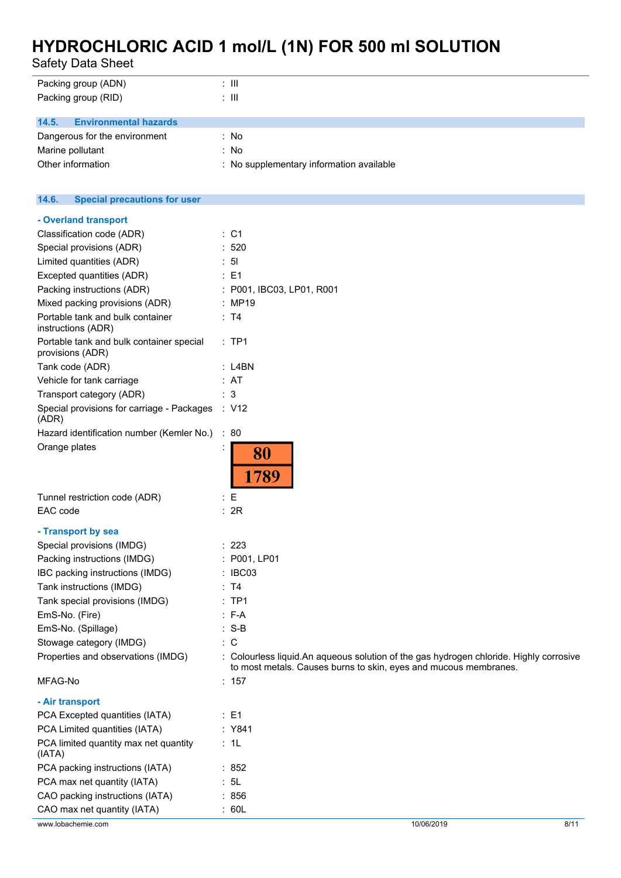Safety Data Sheet

| Packing group (ADN)                                    | $: \mathsf{III}$                                                                       |
|--------------------------------------------------------|----------------------------------------------------------------------------------------|
| Packing group (RID)                                    | $: \mathsf{III}$                                                                       |
|                                                        |                                                                                        |
| <b>Environmental hazards</b><br>14.5.                  |                                                                                        |
| Dangerous for the environment                          | : No                                                                                   |
| Marine pollutant                                       | : No                                                                                   |
| Other information                                      | : No supplementary information available                                               |
|                                                        |                                                                                        |
| 14.6.<br><b>Special precautions for user</b>           |                                                                                        |
| - Overland transport                                   |                                                                                        |
| Classification code (ADR)                              | : C1                                                                                   |
| Special provisions (ADR)                               | : 520                                                                                  |
| Limited quantities (ADR)                               | : 51                                                                                   |
|                                                        | $\therefore$ E1                                                                        |
| Excepted quantities (ADR)                              |                                                                                        |
| Packing instructions (ADR)                             | : P001, IBC03, LP01, R001                                                              |
| Mixed packing provisions (ADR)                         | : MP19                                                                                 |
| Portable tank and bulk container<br>instructions (ADR) | : T4                                                                                   |
| Portable tank and bulk container special               | $:$ TP1                                                                                |
| provisions (ADR)                                       |                                                                                        |
| Tank code (ADR)                                        | $:$ L4BN                                                                               |
| Vehicle for tank carriage                              | : AT                                                                                   |
| Transport category (ADR)                               | : 3                                                                                    |
| Special provisions for carriage - Packages<br>(ADR)    | : V12                                                                                  |
| Hazard identification number (Kemler No.)              | : 80                                                                                   |
| Orange plates                                          | $\blacksquare$<br>80                                                                   |
|                                                        | 1789                                                                                   |
| Tunnel restriction code (ADR)                          | : E                                                                                    |
| EAC code                                               | : 2R                                                                                   |
|                                                        |                                                                                        |
| - Transport by sea                                     |                                                                                        |
| Special provisions (IMDG)                              | 223                                                                                    |
| Packing instructions (IMDG)                            | : P001, LP01                                                                           |
| IBC packing instructions (IMDG)                        | : IBC03                                                                                |
| Tank instructions (IMDG)                               | : T4                                                                                   |
| Tank special provisions (IMDG)                         | $:$ TP1                                                                                |
| EmS-No. (Fire)                                         | $: F-A$                                                                                |
| EmS-No. (Spillage)                                     | $: S-B$                                                                                |
| Stowage category (IMDG)                                | $\therefore$ C                                                                         |
| Properties and observations (IMDG)                     | : Colourless liquid.An aqueous solution of the gas hydrogen chloride. Highly corrosive |
| MFAG-No                                                | to most metals. Causes burns to skin, eyes and mucous membranes.<br>: 157              |
| - Air transport                                        |                                                                                        |
| PCA Excepted quantities (IATA)                         | $\therefore$ E1                                                                        |
|                                                        |                                                                                        |
| PCA Limited quantities (IATA)                          | : Y841                                                                                 |
| PCA limited quantity max net quantity<br>(IATA)        | : 1L                                                                                   |
| PCA packing instructions (IATA)                        | :852                                                                                   |
| PCA max net quantity (IATA)                            | : 5L                                                                                   |
| CAO packing instructions (IATA)                        | : 856                                                                                  |

CAO max net quantity (IATA) : 60L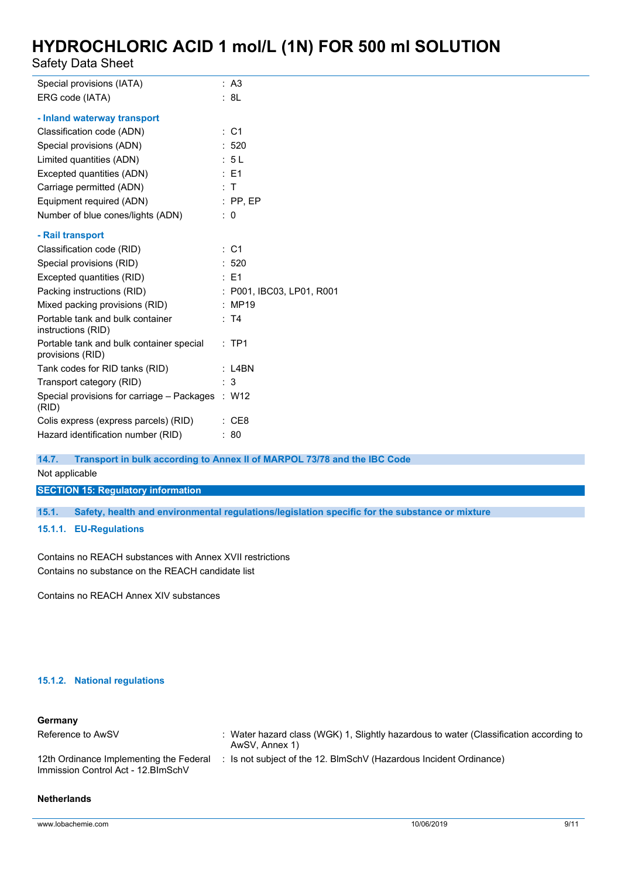Safety Data Sheet

| Special provisions (IATA)                                    | : A3                                                                     |
|--------------------------------------------------------------|--------------------------------------------------------------------------|
| ERG code (IATA)                                              | : 8L                                                                     |
| - Inland waterway transport                                  |                                                                          |
| Classification code (ADN)                                    | $\therefore$ C1                                                          |
| Special provisions (ADN)                                     | : 520                                                                    |
| Limited quantities (ADN)                                     | : 5L                                                                     |
| Excepted quantities (ADN)                                    | $\therefore$ E1                                                          |
| Carriage permitted (ADN)                                     | : T                                                                      |
| Equipment required (ADN)                                     | $:$ PP, EP                                                               |
| Number of blue cones/lights (ADN)                            | $\therefore$ 0                                                           |
| - Rail transport                                             |                                                                          |
| Classification code (RID)                                    | $\therefore$ C1                                                          |
| Special provisions (RID)                                     | :520                                                                     |
| Excepted quantities (RID)                                    | $\therefore$ E1                                                          |
| Packing instructions (RID)                                   | : P001, IBC03, LP01, R001                                                |
| Mixed packing provisions (RID)                               | : MP19                                                                   |
| Portable tank and bulk container<br>instructions (RID)       | : T4                                                                     |
| Portable tank and bulk container special<br>provisions (RID) | $:$ TP1                                                                  |
| Tank codes for RID tanks (RID)                               | $:$ L4BN                                                                 |
| Transport category (RID)                                     | : 3                                                                      |
| Special provisions for carriage - Packages : W12<br>(RID)    |                                                                          |
| Colis express (express parcels) (RID)                        | : CE8                                                                    |
| Hazard identification number (RID)                           | : 80                                                                     |
| 14.7.                                                        | Transport in bulk according to Annex II of MARPOL 73/78 and the IBC Code |

Not applicable

**SECTION 15: Regulatory information**

**15.1. Safety, health and environmental regulations/legislation specific for the substance or mixture**

**15.1.1. EU-Regulations**

Contains no REACH substances with Annex XVII restrictions Contains no substance on the REACH candidate list

Contains no REACH Annex XIV substances

### **15.1.2. National regulations**

### **Germany**

| Reference to AwSV                                                              | : Water hazard class (WGK) 1, Slightly hazardous to water (Classification according to<br>AwSV, Annex 1) |
|--------------------------------------------------------------------------------|----------------------------------------------------------------------------------------------------------|
| 12th Ordinance Implementing the Federal<br>Immission Control Act - 12. BlmSchV | : Is not subject of the 12. BlmSchV (Hazardous Incident Ordinance)                                       |

#### **Netherlands**